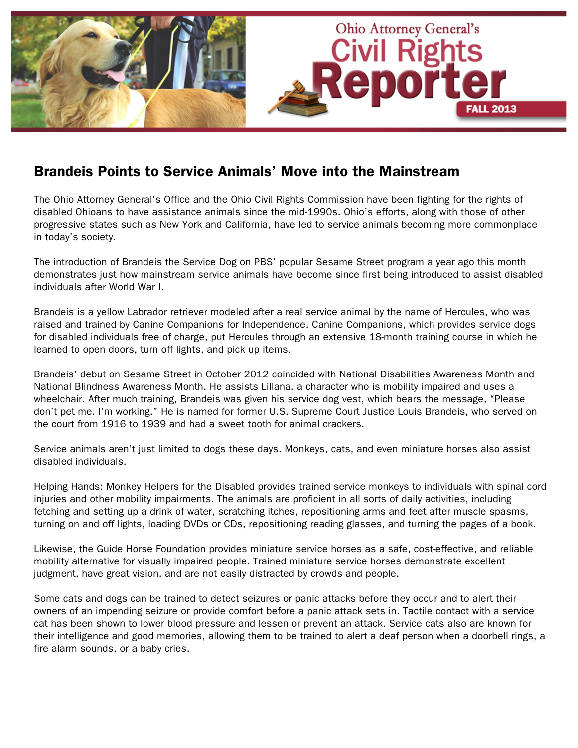

## Brandeis Points to Service Animals' Move into the Mainstream

The Ohio Attorney General's Office and the Ohio Civil Rights Commission have been fighting for the rights of disabled Ohioans to have assistance animals since the mid-1990s. Ohio's efforts, along with those of other progressive states such as New York and California, have led to service animals becoming more commonplace in today's society.

The introduction of Brandeis the Service Dog on PBS' popular Sesame Street program a year ago this month demonstrates just how mainstream service animals have become since first being introduced to assist disabled individuals after World War I.

Brandeis is a yellow Labrador retriever modeled after a real service animal by the name of Hercules, who was raised and trained by Canine Companions for Independence. Canine Companions, which provides service dogs for disabled individuals free of charge, put Hercules through an extensive 18-month training course in which he learned to open doors, turn off lights, and pick up items.

Brandeis' debut on Sesame Street in October 2012 coincided with National Disabilities Awareness Month and National Blindness Awareness Month. He assists Lillana, a character who is mobility impaired and uses a wheelchair. After much training, Brandeis was given his service dog vest, which bears the message, "Please don't pet me. I'm working." He is named for former U.S. Supreme Court Justice Louis Brandeis, who served on the court from 1916 to 1939 and had a sweet tooth for animal crackers.

Service animals aren't just limited to dogs these days. Monkeys, cats, and even miniature horses also assist disabled individuals.

Helping Hands: Monkey Helpers for the Disabled provides trained service monkeys to individuals with spinal cord injuries and other mobility impairments. The animals are proficient in all sorts of daily activities, including fetching and setting up a drink of water, scratching itches, repositioning arms and feet after muscle spasms, turning on and off lights, loading DVDs or CDs, repositioning reading glasses, and turning the pages of a book.

Likewise, the Guide Horse Foundation provides miniature service horses as a safe, cost-effective, and reliable mobility alternative for visually impaired people. Trained miniature service horses demonstrate excellent judgment, have great vision, and are not easily distracted by crowds and people.

Some cats and dogs can be trained to detect seizures or panic attacks before they occur and to alert their owners of an impending seizure or provide comfort before a panic attack sets in. Tactile contact with a service cat has been shown to lower blood pressure and lessen or prevent an attack. Service cats also are known for their intelligence and good memories, allowing them to be trained to alert a deaf person when a doorbell rings, a fire alarm sounds, or a baby cries.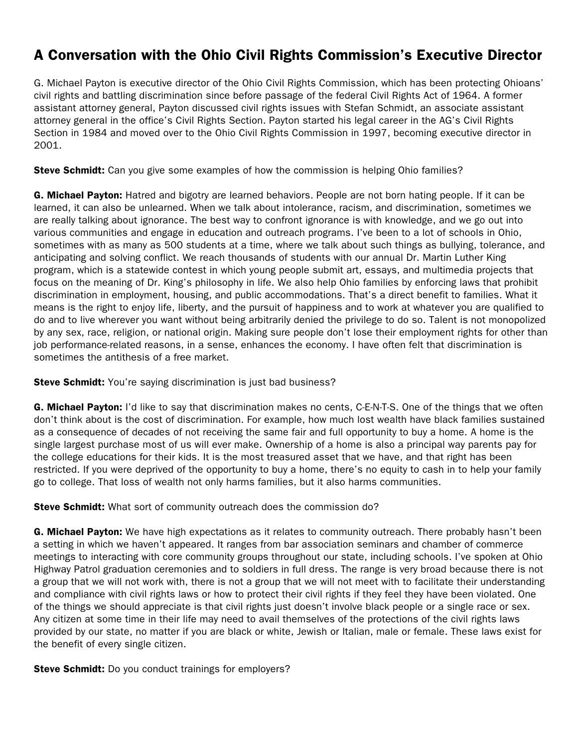## A Conversation with the Ohio Civil Rights Commission's Executive Director

G. Michael Payton is executive director of the Ohio Civil Rights Commission, which has been protecting Ohioans' civil rights and battling discrimination since before passage of the federal Civil Rights Act of 1964. A former assistant attorney general, Payton discussed civil rights issues with Stefan Schmidt, an associate assistant attorney general in the office's Civil Rights Section. Payton started his legal career in the AG's Civil Rights Section in 1984 and moved over to the Ohio Civil Rights Commission in 1997, becoming executive director in 2001.

**Steve Schmidt:** Can you give some examples of how the commission is helping Ohio families?

G. Michael Payton: Hatred and bigotry are learned behaviors. People are not born hating people. If it can be learned, it can also be unlearned. When we talk about intolerance, racism, and discrimination, sometimes we are really talking about ignorance. The best way to confront ignorance is with knowledge, and we go out into various communities and engage in education and outreach programs. I've been to a lot of schools in Ohio, sometimes with as many as 500 students at a time, where we talk about such things as bullying, tolerance, and anticipating and solving conflict. We reach thousands of students with our annual Dr. Martin Luther King program, which is a statewide contest in which young people submit art, essays, and multimedia projects that focus on the meaning of Dr. King's philosophy in life. We also help Ohio families by enforcing laws that prohibit discrimination in employment, housing, and public accommodations. That's a direct benefit to families. What it means is the right to enjoy life, liberty, and the pursuit of happiness and to work at whatever you are qualified to do and to live wherever you want without being arbitrarily denied the privilege to do so. Talent is not monopolized by any sex, race, religion, or national origin. Making sure people don't lose their employment rights for other than job performance-related reasons, in a sense, enhances the economy. I have often felt that discrimination is sometimes the antithesis of a free market.

**Steve Schmidt:** You're saying discrimination is just bad business?

G. Michael Payton: I'd like to say that discrimination makes no cents, C-E-N-T-S. One of the things that we often don't think about is the cost of discrimination. For example, how much lost wealth have black families sustained as a consequence of decades of not receiving the same fair and full opportunity to buy a home. A home is the single largest purchase most of us will ever make. Ownership of a home is also a principal way parents pay for the college educations for their kids. It is the most treasured asset that we have, and that right has been restricted. If you were deprived of the opportunity to buy a home, there's no equity to cash in to help your family go to college. That loss of wealth not only harms families, but it also harms communities.

**Steve Schmidt:** What sort of community outreach does the commission do?

G. Michael Payton: We have high expectations as it relates to community outreach. There probably hasn't been a setting in which we haven't appeared. It ranges from bar association seminars and chamber of commerce meetings to interacting with core community groups throughout our state, including schools. I've spoken at Ohio Highway Patrol graduation ceremonies and to soldiers in full dress. The range is very broad because there is not a group that we will not work with, there is not a group that we will not meet with to facilitate their understanding and compliance with civil rights laws or how to protect their civil rights if they feel they have been violated. One of the things we should appreciate is that civil rights just doesn't involve black people or a single race or sex. Any citizen at some time in their life may need to avail themselves of the protections of the civil rights laws provided by our state, no matter if you are black or white, Jewish or Italian, male or female. These laws exist for the benefit of every single citizen.

Steve Schmidt: Do you conduct trainings for employers?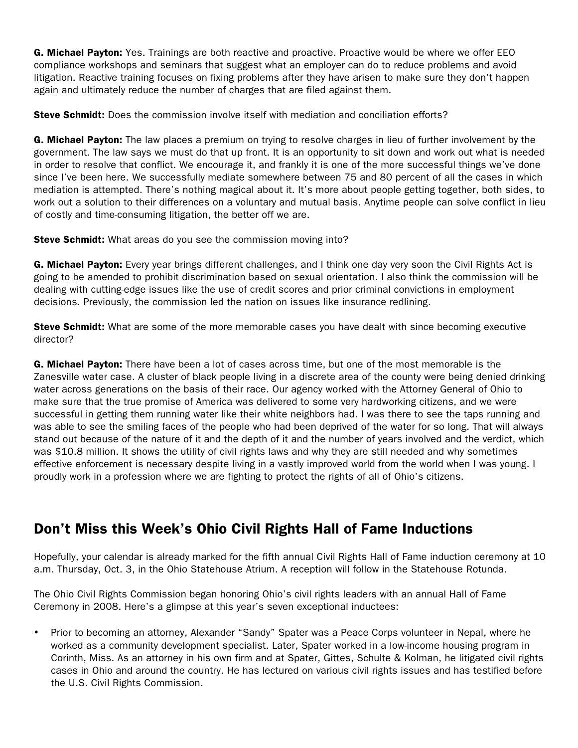G. Michael Payton: Yes. Trainings are both reactive and proactive. Proactive would be where we offer EEO compliance workshops and seminars that suggest what an employer can do to reduce problems and avoid litigation. Reactive training focuses on fixing problems after they have arisen to make sure they don't happen again and ultimately reduce the number of charges that are filed against them.

**Steve Schmidt:** Does the commission involve itself with mediation and conciliation efforts?

G. Michael Payton: The law places a premium on trying to resolve charges in lieu of further involvement by the government. The law says we must do that up front. It is an opportunity to sit down and work out what is needed in order to resolve that conflict. We encourage it, and frankly it is one of the more successful things we've done since I've been here. We successfully mediate somewhere between 75 and 80 percent of all the cases in which mediation is attempted. There's nothing magical about it. It's more about people getting together, both sides, to work out a solution to their differences on a voluntary and mutual basis. Anytime people can solve conflict in lieu of costly and time-consuming litigation, the better off we are.

Steve Schmidt: What areas do you see the commission moving into?

G. Michael Payton: Every year brings different challenges, and I think one day very soon the Civil Rights Act is going to be amended to prohibit discrimination based on sexual orientation. I also think the commission will be dealing with cutting-edge issues like the use of credit scores and prior criminal convictions in employment decisions. Previously, the commission led the nation on issues like insurance redlining.

**Steve Schmidt:** What are some of the more memorable cases you have dealt with since becoming executive director?

**G. Michael Payton:** There have been a lot of cases across time, but one of the most memorable is the Zanesville water case. A cluster of black people living in a discrete area of the county were being denied drinking water across generations on the basis of their race. Our agency worked with the Attorney General of Ohio to make sure that the true promise of America was delivered to some very hardworking citizens, and we were successful in getting them running water like their white neighbors had. I was there to see the taps running and was able to see the smiling faces of the people who had been deprived of the water for so long. That will always stand out because of the nature of it and the depth of it and the number of years involved and the verdict, which was \$10.8 million. It shows the utility of civil rights laws and why they are still needed and why sometimes effective enforcement is necessary despite living in a vastly improved world from the world when I was young. I proudly work in a profession where we are fighting to protect the rights of all of Ohio's citizens.

## Don't Miss this Week's Ohio Civil Rights Hall of Fame Inductions

Hopefully, your calendar is already marked for the fifth annual Civil Rights Hall of Fame induction ceremony at 10 a.m. Thursday, Oct. 3, in the Ohio Statehouse Atrium. A reception will follow in the Statehouse Rotunda.

The Ohio Civil Rights Commission began honoring Ohio's civil rights leaders with an annual Hall of Fame Ceremony in 2008. Here's a glimpse at this year's seven exceptional inductees:

• Prior to becoming an attorney, Alexander "Sandy" Spater was a Peace Corps volunteer in Nepal, where he worked as a community development specialist. Later, Spater worked in a low-income housing program in Corinth, Miss. As an attorney in his own firm and at Spater, Gittes, Schulte & Kolman, he litigated civil rights cases in Ohio and around the country. He has lectured on various civil rights issues and has testified before the U.S. Civil Rights Commission.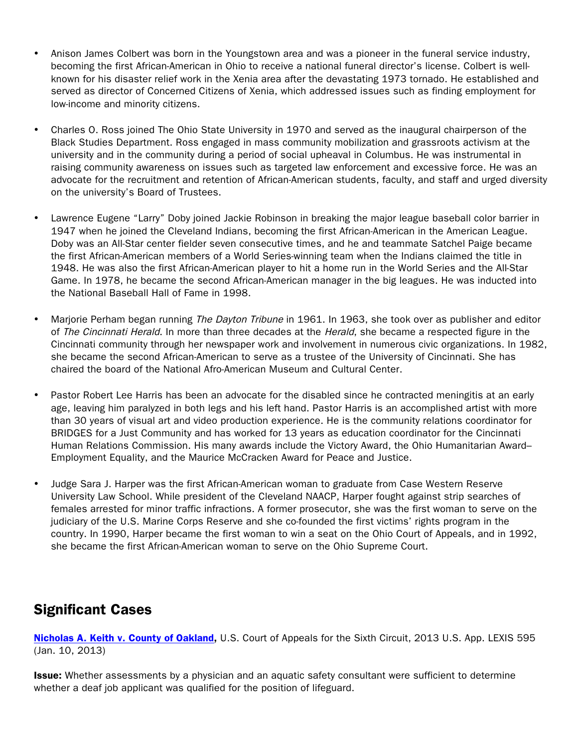- Anison James Colbert was born in the Youngstown area and was a pioneer in the funeral service industry, becoming the first African-American in Ohio to receive a national funeral director's license. Colbert is wellknown for his disaster relief work in the Xenia area after the devastating 1973 tornado. He established and served as director of Concerned Citizens of Xenia, which addressed issues such as finding employment for low-income and minority citizens.
- Charles O. Ross joined The Ohio State University in 1970 and served as the inaugural chairperson of the Black Studies Department. Ross engaged in mass community mobilization and grassroots activism at the university and in the community during a period of social upheaval in Columbus. He was instrumental in raising community awareness on issues such as targeted law enforcement and excessive force. He was an advocate for the recruitment and retention of African-American students, faculty, and staff and urged diversity on the university's Board of Trustees.
- Lawrence Eugene "Larry" Doby joined Jackie Robinson in breaking the major league baseball color barrier in 1947 when he joined the Cleveland Indians, becoming the first African-American in the American League. Doby was an All-Star center fielder seven consecutive times, and he and teammate Satchel Paige became the first African-American members of a World Series-winning team when the Indians claimed the title in 1948. He was also the first African-American player to hit a home run in the World Series and the All-Star Game. In 1978, he became the second African-American manager in the big leagues. He was inducted into the National Baseball Hall of Fame in 1998.
- Marjorie Perham began running The Dayton Tribune in 1961. In 1963, she took over as publisher and editor of The Cincinnati Herald. In more than three decades at the Herald, she became a respected figure in the Cincinnati community through her newspaper work and involvement in numerous civic organizations. In 1982, she became the second African-American to serve as a trustee of the University of Cincinnati. She has chaired the board of the National Afro-American Museum and Cultural Center.
- Pastor Robert Lee Harris has been an advocate for the disabled since he contracted meningitis at an early age, leaving him paralyzed in both legs and his left hand. Pastor Harris is an accomplished artist with more than 30 years of visual art and video production experience. He is the community relations coordinator for BRIDGES for a Just Community and has worked for 13 years as education coordinator for the Cincinnati Human Relations Commission. His many awards include the Victory Award, the Ohio Humanitarian Award– Employment Equality, and the Maurice McCracken Award for Peace and Justice.
- Judge Sara J. Harper was the first African-American woman to graduate from Case Western Reserve University Law School. While president of the Cleveland NAACP, Harper fought against strip searches of females arrested for minor traffic infractions. A former prosecutor, she was the first woman to serve on the judiciary of the U.S. Marine Corps Reserve and she co-founded the first victims' rights program in the country. In 1990, Harper became the first woman to win a seat on the Ohio Court of Appeals, and in 1992, she became the first African-American woman to serve on the Ohio Supreme Court.

## Significant Cases

[Nicholas A. Keith v. County of Oakland,](http://www.google.com/url?sa=t&rct=j&q=nicholas a. keith v. county of oakland&source=web&cd=1&cad=rja&ved=0CCkQFjAA&url=http%3A%2F%2Fwww.ca6.uscourts.gov%2Fopinions.pdf%2F13a0011p-06.pdf&ei=NEIeUov3GLCwsAS3wICACQ&usg=AFQjCNHU1oPnKI9CCYJfnrwtrxka8q0aKQ&bvm=bv.51156542,d.dmg) U.S. Court of Appeals for the Sixth Circuit, 2013 U.S. App. LEXIS 595 (Jan. 10, 2013)

**Issue:** Whether assessments by a physician and an aquatic safety consultant were sufficient to determine whether a deaf job applicant was qualified for the position of lifeguard.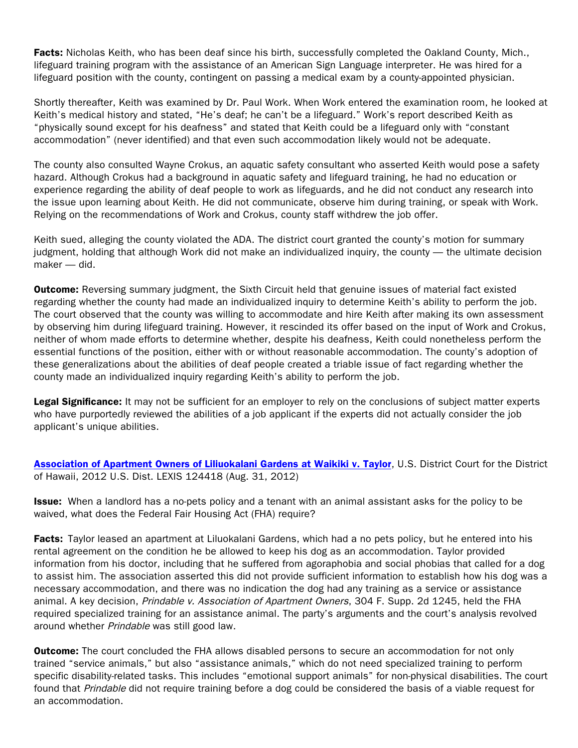Facts: Nicholas Keith, who has been deaf since his birth, successfully completed the Oakland County, Mich., lifeguard training program with the assistance of an American Sign Language interpreter. He was hired for a lifeguard position with the county, contingent on passing a medical exam by a county-appointed physician.

Shortly thereafter, Keith was examined by Dr. Paul Work. When Work entered the examination room, he looked at Keith's medical history and stated, "He's deaf; he can't be a lifeguard." Work's report described Keith as "physically sound except for his deafness" and stated that Keith could be a lifeguard only with "constant accommodation" (never identified) and that even such accommodation likely would not be adequate.

The county also consulted Wayne Crokus, an aquatic safety consultant who asserted Keith would pose a safety hazard. Although Crokus had a background in aquatic safety and lifeguard training, he had no education or experience regarding the ability of deaf people to work as lifeguards, and he did not conduct any research into the issue upon learning about Keith. He did not communicate, observe him during training, or speak with Work. Relying on the recommendations of Work and Crokus, county staff withdrew the job offer.

Keith sued, alleging the county violated the ADA. The district court granted the county's motion for summary judgment, holding that although Work did not make an individualized inquiry, the county — the ultimate decision maker — did.

**Outcome:** Reversing summary judgment, the Sixth Circuit held that genuine issues of material fact existed regarding whether the county had made an individualized inquiry to determine Keith's ability to perform the job. The court observed that the county was willing to accommodate and hire Keith after making its own assessment by observing him during lifeguard training. However, it rescinded its offer based on the input of Work and Crokus, neither of whom made efforts to determine whether, despite his deafness, Keith could nonetheless perform the essential functions of the position, either with or without reasonable accommodation. The county's adoption of these generalizations about the abilities of deaf people created a triable issue of fact regarding whether the county made an individualized inquiry regarding Keith's ability to perform the job.

Legal Significance: It may not be sufficient for an employer to rely on the conclusions of subject matter experts who have purportedly reviewed the abilities of a job applicant if the experts did not actually consider the job applicant's unique abilities.

[Association of Apartment Owners of Liliuokalani Gardens at Waikiki v. Taylor](http://www.gpo.gov/fdsys/pkg/USCOURTS-hid-1_11-cv-00751/pdf/USCOURTS-hid-1_11-cv-00751-0.pdf), U.S. District Court for the District of Hawaii, 2012 U.S. Dist. LEXIS 124418 (Aug. 31, 2012)

**Issue:** When a landlord has a no-pets policy and a tenant with an animal assistant asks for the policy to be waived, what does the Federal Fair Housing Act (FHA) require?

**Facts:** Taylor leased an apartment at Liluokalani Gardens, which had a no pets policy, but he entered into his rental agreement on the condition he be allowed to keep his dog as an accommodation. Taylor provided information from his doctor, including that he suffered from agoraphobia and social phobias that called for a dog to assist him. The association asserted this did not provide sufficient information to establish how his dog was a necessary accommodation, and there was no indication the dog had any training as a service or assistance animal. A key decision, Prindable v. Association of Apartment Owners, 304 F. Supp. 2d 1245, held the FHA required specialized training for an assistance animal. The party's arguments and the court's analysis revolved around whether Prindable was still good law.

**Outcome:** The court concluded the FHA allows disabled persons to secure an accommodation for not only trained "service animals," but also "assistance animals," which do not need specialized training to perform specific disability-related tasks. This includes "emotional support animals" for non-physical disabilities. The court found that Prindable did not require training before a dog could be considered the basis of a viable request for an accommodation.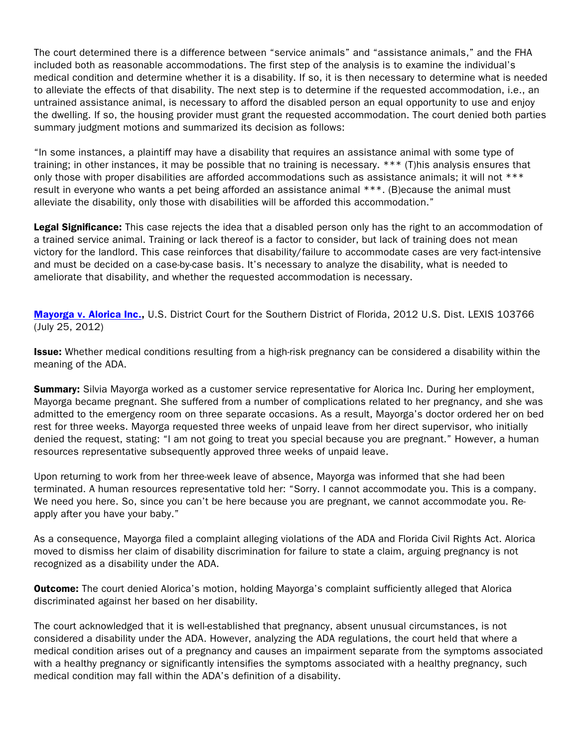The court determined there is a difference between "service animals" and "assistance animals," and the FHA included both as reasonable accommodations. The first step of the analysis is to examine the individual's medical condition and determine whether it is a disability. If so, it is then necessary to determine what is needed to alleviate the effects of that disability. The next step is to determine if the requested accommodation, i.e., an untrained assistance animal, is necessary to afford the disabled person an equal opportunity to use and enjoy the dwelling. If so, the housing provider must grant the requested accommodation. The court denied both parties summary judgment motions and summarized its decision as follows:

"In some instances, a plaintiff may have a disability that requires an assistance animal with some type of training; in other instances, it may be possible that no training is necessary. \*\*\* (T)his analysis ensures that only those with proper disabilities are afforded accommodations such as assistance animals; it will not \*\*\* result in everyone who wants a pet being afforded an assistance animal \*\*\*. (B)ecause the animal must alleviate the disability, only those with disabilities will be afforded this accommodation."

Legal Significance: This case rejects the idea that a disabled person only has the right to an accommodation of a trained service animal. Training or lack thereof is a factor to consider, but lack of training does not mean victory for the landlord. This case reinforces that disability/failure to accommodate cases are very fact-intensive and must be decided on a case-by-case basis. It's necessary to analyze the disability, what is needed to ameliorate that disability, and whether the requested accommodation is necessary.

[Mayorga v. Alorica Inc.,](http://www.google.com/url?url=http://scholar.google.com/scholar_case%3Fcase%3D5839080912842251881%26hl%3Den%26as_sdt%3D2%26as_vis%3D1%26oi%3Dscholarr&rct=j&sa=X&ei=j0UeUr61Ce28sQT-64CIAw&ved=0CCgQgAMoADAA&q=Mayorga+v.+Alorica,+Inc.&usg=AFQjCNHtDWYduoniEPzcqHMgY0lJXDaDKg) U.S. District Court for the Southern District of Florida, 2012 U.S. Dist. LEXIS 103766 (July 25, 2012)

Issue: Whether medical conditions resulting from a high-risk pregnancy can be considered a disability within the meaning of the ADA.

Summary: Silvia Mayorga worked as a customer service representative for Alorica Inc. During her employment, Mayorga became pregnant. She suffered from a number of complications related to her pregnancy, and she was admitted to the emergency room on three separate occasions. As a result, Mayorga's doctor ordered her on bed rest for three weeks. Mayorga requested three weeks of unpaid leave from her direct supervisor, who initially denied the request, stating: "I am not going to treat you special because you are pregnant." However, a human resources representative subsequently approved three weeks of unpaid leave.

Upon returning to work from her three-week leave of absence, Mayorga was informed that she had been terminated. A human resources representative told her: "Sorry. I cannot accommodate you. This is a company. We need you here. So, since you can't be here because you are pregnant, we cannot accommodate you. Reapply after you have your baby."

As a consequence, Mayorga filed a complaint alleging violations of the ADA and Florida Civil Rights Act. Alorica moved to dismiss her claim of disability discrimination for failure to state a claim, arguing pregnancy is not recognized as a disability under the ADA.

**Outcome:** The court denied Alorica's motion, holding Mayorga's complaint sufficiently alleged that Alorica discriminated against her based on her disability.

The court acknowledged that it is well-established that pregnancy, absent unusual circumstances, is not considered a disability under the ADA. However, analyzing the ADA regulations, the court held that where a medical condition arises out of a pregnancy and causes an impairment separate from the symptoms associated with a healthy pregnancy or significantly intensifies the symptoms associated with a healthy pregnancy, such medical condition may fall within the ADA's definition of a disability.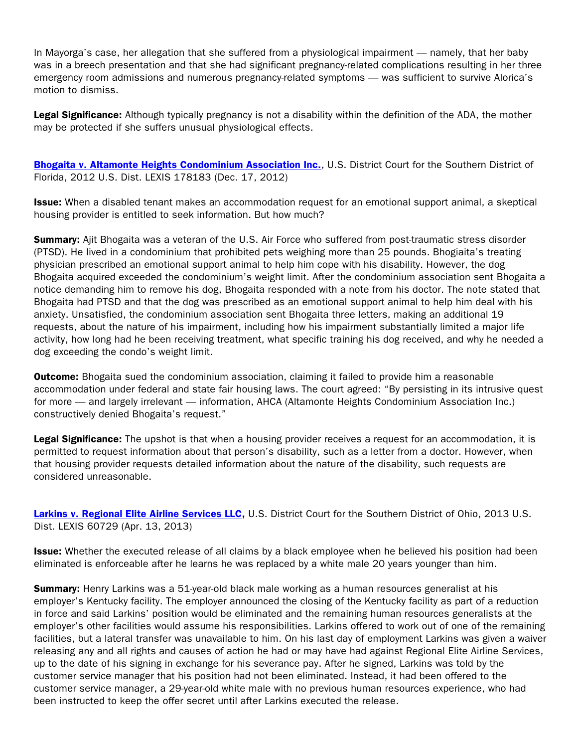In Mayorga's case, her allegation that she suffered from a physiological impairment — namely, that her baby was in a breech presentation and that she had significant pregnancy-related complications resulting in her three emergency room admissions and numerous pregnancy-related symptoms — was sufficient to survive Alorica's motion to dismiss.

Legal Significance: Although typically pregnancy is not a disability within the definition of the ADA, the mother may be protected if she suffers unusual physiological effects.

[Bhogaita v. Altamonte Heights Condominium Association Inc.](http://scholar.google.com/scholar_case?case=3638883428180850214&q=Bhogaita+v.+Altamonte+Heights+Condominium+Assn.,+Inc.&hl=en&as_sdt=2,36&as_vis=1), U.S. District Court for the Southern District of Florida, 2012 U.S. Dist. LEXIS 178183 (Dec. 17, 2012)

Issue: When a disabled tenant makes an accommodation request for an emotional support animal, a skeptical housing provider is entitled to seek information. But how much?

**Summary:** Ajit Bhogaita was a veteran of the U.S. Air Force who suffered from post-traumatic stress disorder (PTSD). He lived in a condominium that prohibited pets weighing more than 25 pounds. Bhogiaita's treating physician prescribed an emotional support animal to help him cope with his disability. However, the dog Bhogaita acquired exceeded the condominium's weight limit. After the condominium association sent Bhogaita a notice demanding him to remove his dog, Bhogaita responded with a note from his doctor. The note stated that Bhogaita had PTSD and that the dog was prescribed as an emotional support animal to help him deal with his anxiety. Unsatisfied, the condominium association sent Bhogaita three letters, making an additional 19 requests, about the nature of his impairment, including how his impairment substantially limited a major life activity, how long had he been receiving treatment, what specific training his dog received, and why he needed a dog exceeding the condo's weight limit.

**Outcome:** Bhogaita sued the condominium association, claiming it failed to provide him a reasonable accommodation under federal and state fair housing laws. The court agreed: "By persisting in its intrusive quest for more — and largely irrelevant — information, AHCA (Altamonte Heights Condominium Association Inc.) constructively denied Bhogaita's request."

Legal Significance: The upshot is that when a housing provider receives a request for an accommodation, it is permitted to request information about that person's disability, such as a letter from a doctor. However, when that housing provider requests detailed information about the nature of the disability, such requests are considered unreasonable.

[Larkins v. Regional Elite Airline Services LLC,](http://scholar.google.com/scholar_case?case=16422646629587529762&q=Larkins+v.+Regional+Elite+Airline+Services,+LLC&hl=en&as_sdt=2,36&as_vis=1) U.S. District Court for the Southern District of Ohio, 2013 U.S. Dist. LEXIS 60729 (Apr. 13, 2013)

**Issue:** Whether the executed release of all claims by a black employee when he believed his position had been eliminated is enforceable after he learns he was replaced by a white male 20 years younger than him.

**Summary:** Henry Larkins was a 51-year-old black male working as a human resources generalist at his employer's Kentucky facility. The employer announced the closing of the Kentucky facility as part of a reduction in force and said Larkins' position would be eliminated and the remaining human resources generalists at the employer's other facilities would assume his responsibilities. Larkins offered to work out of one of the remaining facilities, but a lateral transfer was unavailable to him. On his last day of employment Larkins was given a waiver releasing any and all rights and causes of action he had or may have had against Regional Elite Airline Services, up to the date of his signing in exchange for his severance pay. After he signed, Larkins was told by the customer service manager that his position had not been eliminated. Instead, it had been offered to the customer service manager, a 29-year-old white male with no previous human resources experience, who had been instructed to keep the offer secret until after Larkins executed the release.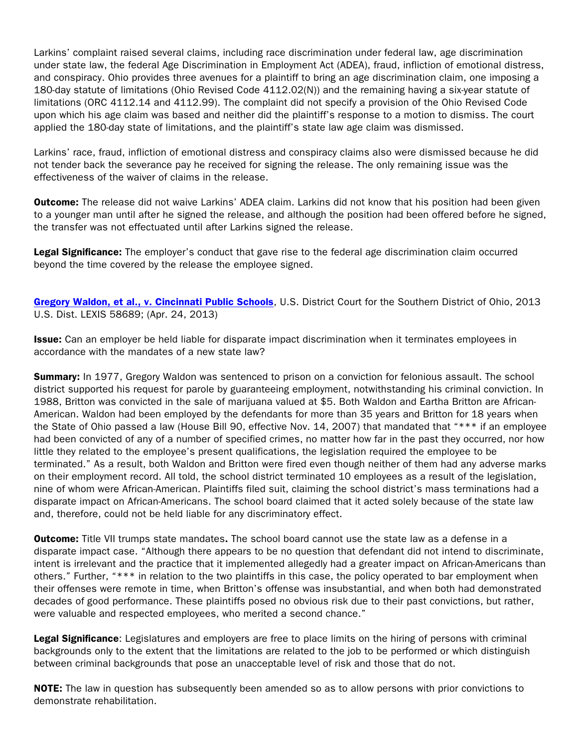Larkins' complaint raised several claims, including race discrimination under federal law, age discrimination under state law, the federal Age Discrimination in Employment Act (ADEA), fraud, infliction of emotional distress, and conspiracy. Ohio provides three avenues for a plaintiff to bring an age discrimination claim, one imposing a 180-day statute of limitations (Ohio Revised Code 4112.02(N)) and the remaining having a six-year statute of limitations (ORC 4112.14 and 4112.99). The complaint did not specify a provision of the Ohio Revised Code upon which his age claim was based and neither did the plaintiff's response to a motion to dismiss. The court applied the 180-day state of limitations, and the plaintiff's state law age claim was dismissed.

Larkins' race, fraud, infliction of emotional distress and conspiracy claims also were dismissed because he did not tender back the severance pay he received for signing the release. The only remaining issue was the effectiveness of the waiver of claims in the release.

**Outcome:** The release did not waive Larkins' ADEA claim. Larkins did not know that his position had been given to a younger man until after he signed the release, and although the position had been offered before he signed, the transfer was not effectuated until after Larkins signed the release.

Legal Significance: The employer's conduct that gave rise to the federal age discrimination claim occurred beyond the time covered by the release the employee signed.

[Gregory Waldon, et al., v. Cincinnati Public Schools](http://www.google.com/url?sa=t&rct=j&q=gregory waldon v. cincinnati public schools&source=web&cd=1&cad=rja&ved=0CCkQFjAA&url=http%3A%2F%2Fwww.laboremploymentlawnavigator.com%2FCincinnati%20Board%20of%20Education%20Case%2004-24-2013.pdf&ei=RW4eUoHSMpOlsQSLzYBw&usg=AFQjCNF1hWN7-n6kgk5n1hbCIFz7dkAySA), U.S. District Court for the Southern District of Ohio, 2013 U.S. Dist. LEXIS 58689; (Apr. 24, 2013)

**Issue:** Can an employer be held liable for disparate impact discrimination when it terminates employees in accordance with the mandates of a new state law?

**Summary:** In 1977, Gregory Waldon was sentenced to prison on a conviction for felonious assault. The school district supported his request for parole by guaranteeing employment, notwithstanding his criminal conviction. In 1988, Britton was convicted in the sale of marijuana valued at \$5. Both Waldon and Eartha Britton are African-American. Waldon had been employed by the defendants for more than 35 years and Britton for 18 years when the State of Ohio passed a law (House Bill 90, effective Nov. 14, 2007) that mandated that "\*\*\* if an employee had been convicted of any of a number of specified crimes, no matter how far in the past they occurred, nor how little they related to the employee's present qualifications, the legislation required the employee to be terminated." As a result, both Waldon and Britton were fired even though neither of them had any adverse marks on their employment record. All told, the school district terminated 10 employees as a result of the legislation, nine of whom were African-American. Plaintiffs filed suit, claiming the school district's mass terminations had a disparate impact on African-Americans. The school board claimed that it acted solely because of the state law and, therefore, could not be held liable for any discriminatory effect.

**Outcome:** Title VII trumps state mandates. The school board cannot use the state law as a defense in a disparate impact case. "Although there appears to be no question that defendant did not intend to discriminate, intent is irrelevant and the practice that it implemented allegedly had a greater impact on African-Americans than others." Further, "\*\*\* in relation to the two plaintiffs in this case, the policy operated to bar employment when their offenses were remote in time, when Britton's offense was insubstantial, and when both had demonstrated decades of good performance. These plaintiffs posed no obvious risk due to their past convictions, but rather, were valuable and respected employees, who merited a second chance."

Legal Significance: Legislatures and employers are free to place limits on the hiring of persons with criminal backgrounds only to the extent that the limitations are related to the job to be performed or which distinguish between criminal backgrounds that pose an unacceptable level of risk and those that do not.

NOTE: The law in question has subsequently been amended so as to allow persons with prior convictions to demonstrate rehabilitation.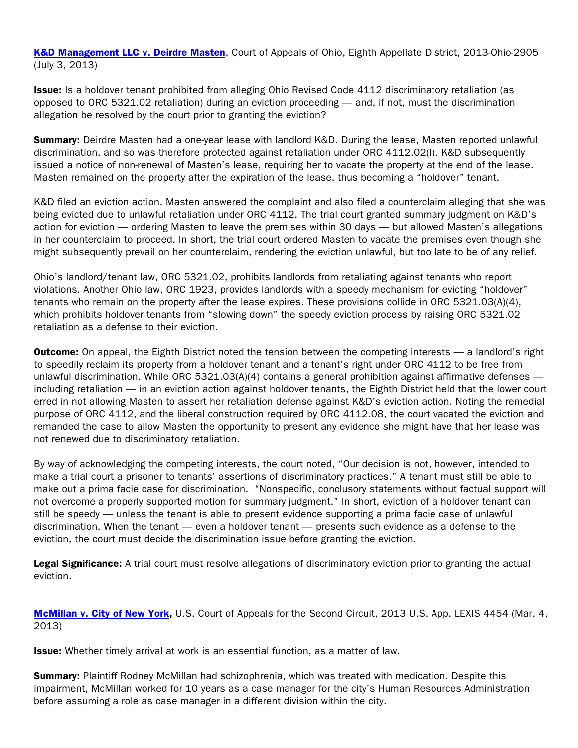[K&D Management LLC v. Deirdre Masten](http://www.google.com/url?sa=t&rct=j&q=k%26d management%2C llc v. deirdre masten&source=web&cd=1&cad=rja&ved=0CCkQFjAA&url=http%3A%2F%2Fwww.sconet.state.oh.us%2Frod%2Fdocs%2Fpdf%2F8%2F2013%2F2013-ohio-2905.pdf&ei=TW8eUvPeFc65sQSM1YHAAQ&usg=AFQjCNGSeu1Gb_hn4c6L-G39WuUMZYeH5g), Court of Appeals of Ohio, Eighth Appellate District, 2013-Ohio-2905 (July 3, 2013)

Issue: Is a holdover tenant prohibited from alleging Ohio Revised Code 4112 discriminatory retaliation (as opposed to ORC 5321.02 retaliation) during an eviction proceeding — and, if not, must the discrimination allegation be resolved by the court prior to granting the eviction?

**Summary:** Deirdre Masten had a one-year lease with landlord K&D. During the lease, Masten reported unlawful discrimination, and so was therefore protected against retaliation under ORC 4112.02(I). K&D subsequently issued a notice of non-renewal of Masten's lease, requiring her to vacate the property at the end of the lease. Masten remained on the property after the expiration of the lease, thus becoming a "holdover" tenant.

K&D filed an eviction action. Masten answered the complaint and also filed a counterclaim alleging that she was being evicted due to unlawful retaliation under ORC 4112. The trial court granted summary judgment on K&D's action for eviction — ordering Masten to leave the premises within 30 days — but allowed Masten's allegations in her counterclaim to proceed. In short, the trial court ordered Masten to vacate the premises even though she might subsequently prevail on her counterclaim, rendering the eviction unlawful, but too late to be of any relief.

Ohio's landlord/tenant law, ORC 5321.02, prohibits landlords from retaliating against tenants who report violations. Another Ohio law, ORC 1923, provides landlords with a speedy mechanism for evicting "holdover" tenants who remain on the property after the lease expires. These provisions collide in ORC 5321.03(A)(4), which prohibits holdover tenants from "slowing down" the speedy eviction process by raising ORC 5321.02 retaliation as a defense to their eviction.

**Outcome:** On appeal, the Eighth District noted the tension between the competing interests — a landlord's right to speedily reclaim its property from a holdover tenant and a tenant's right under ORC 4112 to be free from unlawful discrimination. While ORC 5321.03(A)(4) contains a general prohibition against affirmative defenses including retaliation — in an eviction action against holdover tenants, the Eighth District held that the lower court erred in not allowing Masten to assert her retaliation defense against K&D's eviction action. Noting the remedial purpose of ORC 4112, and the liberal construction required by ORC 4112.08, the court vacated the eviction and remanded the case to allow Masten the opportunity to present any evidence she might have that her lease was not renewed due to discriminatory retaliation.

By way of acknowledging the competing interests, the court noted, "Our decision is not, however, intended to make a trial court a prisoner to tenants' assertions of discriminatory practices." A tenant must still be able to make out a prima facie case for discrimination. "Nonspecific, conclusory statements without factual support will not overcome a properly supported motion for summary judgment." In short, eviction of a holdover tenant can still be speedy — unless the tenant is able to present evidence supporting a prima facie case of unlawful discrimination. When the tenant — even a holdover tenant — presents such evidence as a defense to the eviction, the court must decide the discrimination issue before granting the eviction.

Legal Significance: A trial court must resolve allegations of discriminatory eviction prior to granting the actual eviction.

[McMillan v. City of New York,](http://scholar.google.com/scholar_case?case=3075514034586126694&q=mcmillan+v.+city+of+new+york&hl=en&as_sdt=2,36&as_vis=1) U.S. Court of Appeals for the Second Circuit, 2013 U.S. App. LEXIS 4454 (Mar. 4, 2013)

Issue: Whether timely arrival at work is an essential function, as a matter of law.

**Summary:** Plaintiff Rodney McMillan had schizophrenia, which was treated with medication. Despite this impairment, McMillan worked for 10 years as a case manager for the city's Human Resources Administration before assuming a role as case manager in a different division within the city.